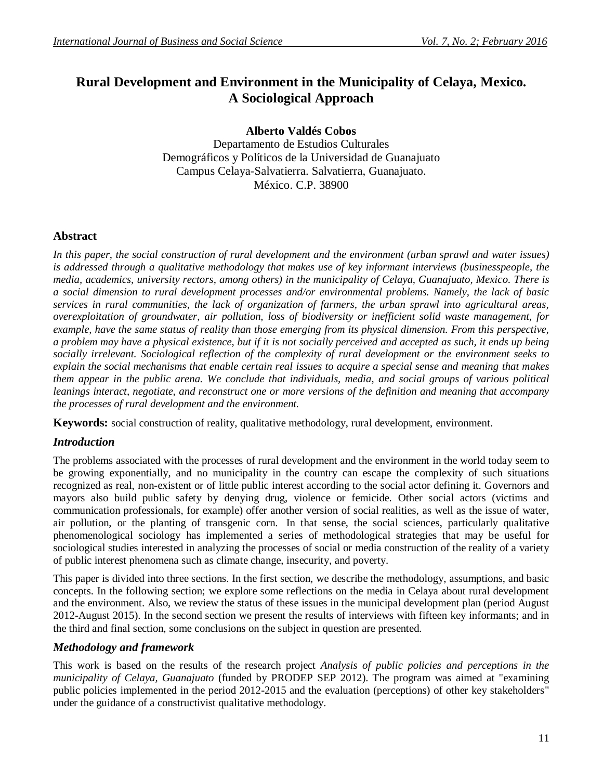# **Rural Development and Environment in the Municipality of Celaya, Mexico. A Sociological Approach**

**Alberto Valdés Cobos**

Departamento de Estudios Culturales Demográficos y Políticos de la Universidad de Guanajuato Campus Celaya-Salvatierra. Salvatierra, Guanajuato. México. C.P. 38900

# **Abstract**

In this paper, the social construction of rural development and the environment (urban sprawl and water issues) *is addressed through a qualitative methodology that makes use of key informant interviews (businesspeople, the media, academics, university rectors, among others) in the municipality of Celaya, Guanajuato, Mexico. There is a social dimension to rural development processes and/or environmental problems. Namely, the lack of basic services in rural communities, the lack of organization of farmers, the urban sprawl into agricultural areas, overexploitation of groundwater, air pollution, loss of biodiversity or inefficient solid waste management, for example, have the same status of reality than those emerging from its physical dimension. From this perspective, a problem may have a physical existence, but if it is not socially perceived and accepted as such, it ends up being socially irrelevant. Sociological reflection of the complexity of rural development or the environment seeks to explain the social mechanisms that enable certain real issues to acquire a special sense and meaning that makes them appear in the public arena. We conclude that individuals, media, and social groups of various political leanings interact, negotiate, and reconstruct one or more versions of the definition and meaning that accompany the processes of rural development and the environment.*

**Keywords:** social construction of reality, qualitative methodology, rural development, environment.

# *Introduction*

The problems associated with the processes of rural development and the environment in the world today seem to be growing exponentially, and no municipality in the country can escape the complexity of such situations recognized as real, non-existent or of little public interest according to the social actor defining it. Governors and mayors also build public safety by denying drug, violence or femicide. Other social actors (victims and communication professionals, for example) offer another version of social realities, as well as the issue of water, air pollution, or the planting of transgenic corn. In that sense, the social sciences, particularly qualitative phenomenological sociology has implemented a series of methodological strategies that may be useful for sociological studies interested in analyzing the processes of social or media construction of the reality of a variety of public interest phenomena such as climate change, insecurity, and poverty.

This paper is divided into three sections. In the first section, we describe the methodology, assumptions, and basic concepts. In the following section; we explore some reflections on the media in Celaya about rural development and the environment. Also, we review the status of these issues in the municipal development plan (period August 2012-August 2015). In the second section we present the results of interviews with fifteen key informants; and in the third and final section, some conclusions on the subject in question are presented.

# *Methodology and framework*

This work is based on the results of the research project *Analysis of public policies and perceptions in the municipality of Celaya, Guanajuato* (funded by PRODEP SEP 2012). The program was aimed at "examining public policies implemented in the period 2012-2015 and the evaluation (perceptions) of other key stakeholders" under the guidance of a constructivist qualitative methodology.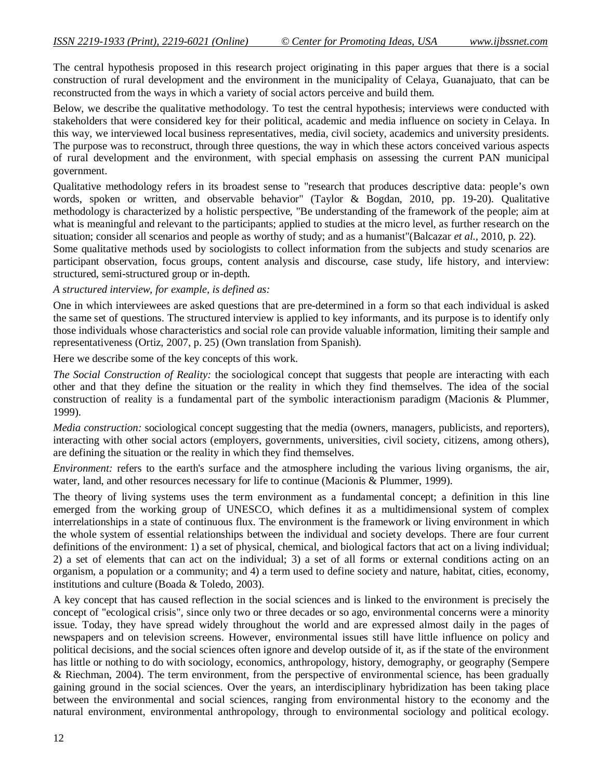The central hypothesis proposed in this research project originating in this paper argues that there is a social construction of rural development and the environment in the municipality of Celaya, Guanajuato, that can be reconstructed from the ways in which a variety of social actors perceive and build them.

Below, we describe the qualitative methodology. To test the central hypothesis; interviews were conducted with stakeholders that were considered key for their political, academic and media influence on society in Celaya. In this way, we interviewed local business representatives, media, civil society, academics and university presidents. The purpose was to reconstruct, through three questions, the way in which these actors conceived various aspects of rural development and the environment, with special emphasis on assessing the current PAN municipal government.

Qualitative methodology refers in its broadest sense to "research that produces descriptive data: people's own words, spoken or written, and observable behavior" (Taylor & Bogdan, 2010, pp. 19-20). Qualitative methodology is characterized by a holistic perspective, "Be understanding of the framework of the people; aim at what is meaningful and relevant to the participants; applied to studies at the micro level, as further research on the situation; consider all scenarios and people as worthy of study; and as a humanist"(Balcazar *et al.,* 2010, p. 22).

Some qualitative methods used by sociologists to collect information from the subjects and study scenarios are participant observation, focus groups, content analysis and discourse, case study, life history, and interview: structured, semi-structured group or in-depth.

*A structured interview, for example, is defined as:*

One in which interviewees are asked questions that are pre-determined in a form so that each individual is asked the same set of questions. The structured interview is applied to key informants, and its purpose is to identify only those individuals whose characteristics and social role can provide valuable information, limiting their sample and representativeness (Ortiz, 2007, p. 25) (Own translation from Spanish).

Here we describe some of the key concepts of this work.

*The Social Construction of Reality:* the sociological concept that suggests that people are interacting with each other and that they define the situation or the reality in which they find themselves. The idea of the social construction of reality is a fundamental part of the symbolic interactionism paradigm (Macionis & Plummer, 1999).

*Media construction:* sociological concept suggesting that the media (owners, managers, publicists, and reporters), interacting with other social actors (employers, governments, universities, civil society, citizens, among others), are defining the situation or the reality in which they find themselves.

*Environment:* refers to the earth's surface and the atmosphere including the various living organisms, the air, water, land, and other resources necessary for life to continue (Macionis & Plummer, 1999).

The theory of living systems uses the term environment as a fundamental concept; a definition in this line emerged from the working group of UNESCO, which defines it as a multidimensional system of complex interrelationships in a state of continuous flux. The environment is the framework or living environment in which the whole system of essential relationships between the individual and society develops. There are four current definitions of the environment: 1) a set of physical, chemical, and biological factors that act on a living individual; 2) a set of elements that can act on the individual; 3) a set of all forms or external conditions acting on an organism, a population or a community; and 4) a term used to define society and nature, habitat, cities, economy, institutions and culture (Boada & Toledo, 2003).

A key concept that has caused reflection in the social sciences and is linked to the environment is precisely the concept of "ecological crisis", since only two or three decades or so ago, environmental concerns were a minority issue. Today, they have spread widely throughout the world and are expressed almost daily in the pages of newspapers and on television screens. However, environmental issues still have little influence on policy and political decisions, and the social sciences often ignore and develop outside of it, as if the state of the environment has little or nothing to do with sociology, economics, anthropology, history, demography, or geography (Sempere & Riechman, 2004). The term environment, from the perspective of environmental science, has been gradually gaining ground in the social sciences. Over the years, an interdisciplinary hybridization has been taking place between the environmental and social sciences, ranging from environmental history to the economy and the natural environment, environmental anthropology, through to environmental sociology and political ecology.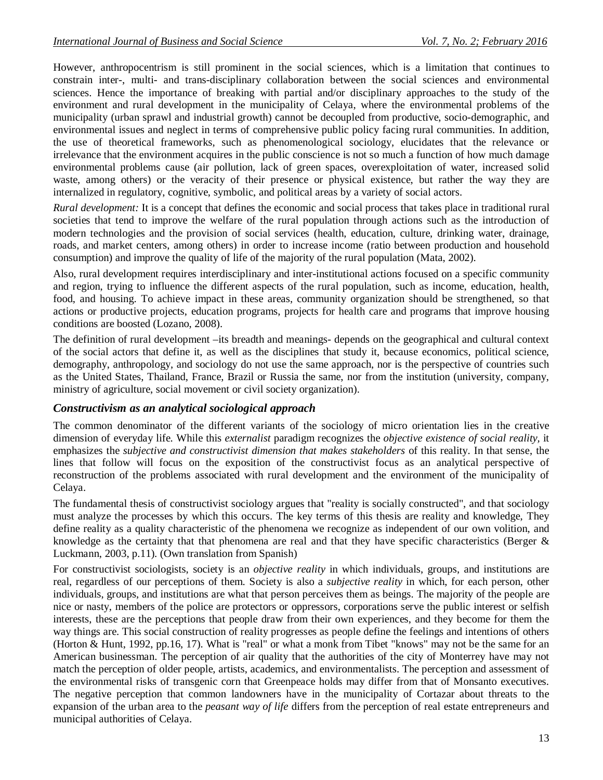However, anthropocentrism is still prominent in the social sciences, which is a limitation that continues to constrain inter-, multi- and trans-disciplinary collaboration between the social sciences and environmental sciences. Hence the importance of breaking with partial and/or disciplinary approaches to the study of the environment and rural development in the municipality of Celaya, where the environmental problems of the municipality (urban sprawl and industrial growth) cannot be decoupled from productive, socio-demographic, and environmental issues and neglect in terms of comprehensive public policy facing rural communities. In addition, the use of theoretical frameworks, such as phenomenological sociology, elucidates that the relevance or irrelevance that the environment acquires in the public conscience is not so much a function of how much damage environmental problems cause (air pollution, lack of green spaces, overexploitation of water, increased solid waste, among others) or the veracity of their presence or physical existence, but rather the way they are internalized in regulatory, cognitive, symbolic, and political areas by a variety of social actors.

*Rural development:* It is a concept that defines the economic and social process that takes place in traditional rural societies that tend to improve the welfare of the rural population through actions such as the introduction of modern technologies and the provision of social services (health, education, culture, drinking water, drainage, roads, and market centers, among others) in order to increase income (ratio between production and household consumption) and improve the quality of life of the majority of the rural population (Mata, 2002).

Also, rural development requires interdisciplinary and inter-institutional actions focused on a specific community and region, trying to influence the different aspects of the rural population, such as income, education, health, food, and housing. To achieve impact in these areas, community organization should be strengthened, so that actions or productive projects, education programs, projects for health care and programs that improve housing conditions are boosted (Lozano, 2008).

The definition of rural development –its breadth and meanings- depends on the geographical and cultural context of the social actors that define it, as well as the disciplines that study it, because economics, political science, demography, anthropology, and sociology do not use the same approach, nor is the perspective of countries such as the United States, Thailand, France, Brazil or Russia the same, nor from the institution (university, company, ministry of agriculture, social movement or civil society organization).

# *Constructivism as an analytical sociological approach*

The common denominator of the different variants of the sociology of micro orientation lies in the creative dimension of everyday life. While this *externalist* paradigm recognizes the *objective existence of social reality,* it emphasizes the *subjective and constructivist dimension that makes stakeholders* of this reality. In that sense, the lines that follow will focus on the exposition of the constructivist focus as an analytical perspective of reconstruction of the problems associated with rural development and the environment of the municipality of Celaya.

The fundamental thesis of constructivist sociology argues that "reality is socially constructed", and that sociology must analyze the processes by which this occurs. The key terms of this thesis are reality and knowledge, They define reality as a quality characteristic of the phenomena we recognize as independent of our own volition, and knowledge as the certainty that that phenomena are real and that they have specific characteristics (Berger  $\&$ Luckmann, 2003, p.11). (Own translation from Spanish)

For constructivist sociologists, society is an *objective reality* in which individuals, groups, and institutions are real, regardless of our perceptions of them. Society is also a *subjective reality* in which, for each person, other individuals, groups, and institutions are what that person perceives them as beings. The majority of the people are nice or nasty, members of the police are protectors or oppressors, corporations serve the public interest or selfish interests, these are the perceptions that people draw from their own experiences, and they become for them the way things are. This social construction of reality progresses as people define the feelings and intentions of others (Horton & Hunt, 1992, pp.16, 17). What is "real" or what a monk from Tibet "knows" may not be the same for an American businessman. The perception of air quality that the authorities of the city of Monterrey have may not match the perception of older people, artists, academics, and environmentalists. The perception and assessment of the environmental risks of transgenic corn that Greenpeace holds may differ from that of Monsanto executives. The negative perception that common landowners have in the municipality of Cortazar about threats to the expansion of the urban area to the *peasant way of life* differs from the perception of real estate entrepreneurs and municipal authorities of Celaya.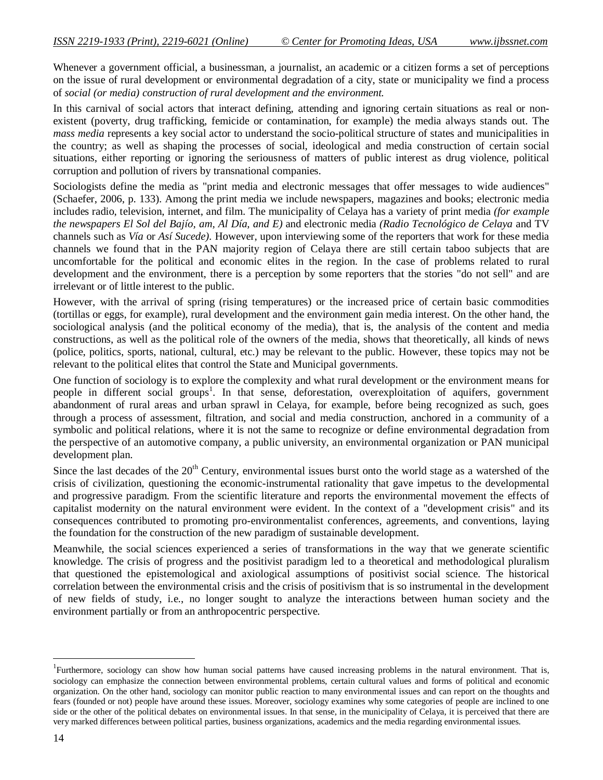Whenever a government official, a businessman, a journalist, an academic or a citizen forms a set of perceptions on the issue of rural development or environmental degradation of a city, state or municipality we find a process of *social (or media) construction of rural development and the environment.*

In this carnival of social actors that interact defining, attending and ignoring certain situations as real or nonexistent (poverty, drug trafficking, femicide or contamination, for example) the media always stands out. The *mass media* represents a key social actor to understand the socio-political structure of states and municipalities in the country; as well as shaping the processes of social, ideological and media construction of certain social situations, either reporting or ignoring the seriousness of matters of public interest as drug violence, political corruption and pollution of rivers by transnational companies.

Sociologists define the media as "print media and electronic messages that offer messages to wide audiences" (Schaefer, 2006, p. 133). Among the print media we include newspapers, magazines and books; electronic media includes radio, television, internet, and film. The municipality of Celaya has a variety of print media *(for example the newspapers El Sol del Bajío, am, Al Día, and E)* and electronic media *(Radio Tecnológico de Celaya* and TV channels such as *Vía* or *Así Sucede).* However, upon interviewing some of the reporters that work for these media channels we found that in the PAN majority region of Celaya there are still certain taboo subjects that are uncomfortable for the political and economic elites in the region. In the case of problems related to rural development and the environment, there is a perception by some reporters that the stories "do not sell" and are irrelevant or of little interest to the public.

However, with the arrival of spring (rising temperatures) or the increased price of certain basic commodities (tortillas or eggs, for example), rural development and the environment gain media interest. On the other hand, the sociological analysis (and the political economy of the media), that is, the analysis of the content and media constructions, as well as the political role of the owners of the media, shows that theoretically, all kinds of news (police, politics, sports, national, cultural, etc.) may be relevant to the public. However, these topics may not be relevant to the political elites that control the State and Municipal governments.

One function of sociology is to explore the complexity and what rural development or the environment means for people in different social groups<sup>1</sup>. In that sense, deforestation, overexploitation of aquifers, government abandonment of rural areas and urban sprawl in Celaya, for example, before being recognized as such, goes through a process of assessment, filtration, and social and media construction, anchored in a community of a symbolic and political relations, where it is not the same to recognize or define environmental degradation from the perspective of an automotive company, a public university, an environmental organization or PAN municipal development plan.

Since the last decades of the  $20<sup>th</sup>$  Century, environmental issues burst onto the world stage as a watershed of the crisis of civilization, questioning the economic-instrumental rationality that gave impetus to the developmental and progressive paradigm. From the scientific literature and reports the environmental movement the effects of capitalist modernity on the natural environment were evident. In the context of a "development crisis" and its consequences contributed to promoting pro-environmentalist conferences, agreements, and conventions, laying the foundation for the construction of the new paradigm of sustainable development.

Meanwhile, the social sciences experienced a series of transformations in the way that we generate scientific knowledge. The crisis of progress and the positivist paradigm led to a theoretical and methodological pluralism that questioned the epistemological and axiological assumptions of positivist social science. The historical correlation between the environmental crisis and the crisis of positivism that is so instrumental in the development of new fields of study, i.e., no longer sought to analyze the interactions between human society and the environment partially or from an anthropocentric perspective.

l

<sup>&</sup>lt;sup>1</sup>Furthermore, sociology can show how human social patterns have caused increasing problems in the natural environment. That is, sociology can emphasize the connection between environmental problems, certain cultural values and forms of political and economic organization. On the other hand, sociology can monitor public reaction to many environmental issues and can report on the thoughts and fears (founded or not) people have around these issues. Moreover, sociology examines why some categories of people are inclined to one side or the other of the political debates on environmental issues. In that sense, in the municipality of Celaya, it is perceived that there are very marked differences between political parties, business organizations, academics and the media regarding environmental issues.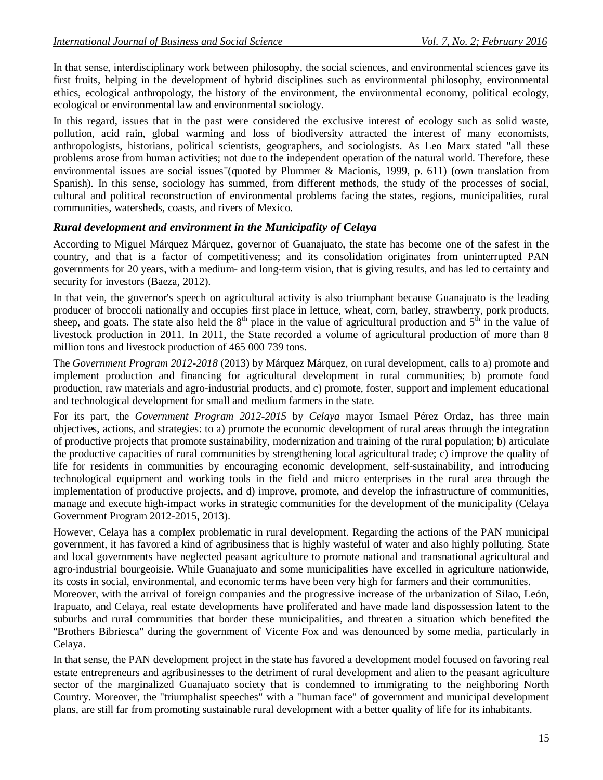In that sense, interdisciplinary work between philosophy, the social sciences, and environmental sciences gave its first fruits, helping in the development of hybrid disciplines such as environmental philosophy, environmental ethics, ecological anthropology, the history of the environment, the environmental economy, political ecology, ecological or environmental law and environmental sociology.

In this regard, issues that in the past were considered the exclusive interest of ecology such as solid waste, pollution, acid rain, global warming and loss of biodiversity attracted the interest of many economists, anthropologists, historians, political scientists, geographers, and sociologists. As Leo Marx stated "all these problems arose from human activities; not due to the independent operation of the natural world. Therefore, these environmental issues are social issues"(quoted by Plummer & Macionis, 1999, p. 611) (own translation from Spanish). In this sense, sociology has summed, from different methods, the study of the processes of social, cultural and political reconstruction of environmental problems facing the states, regions, municipalities, rural communities, watersheds, coasts, and rivers of Mexico.

# *Rural development and environment in the Municipality of Celaya*

According to Miguel Márquez Márquez, governor of Guanajuato, the state has become one of the safest in the country, and that is a factor of competitiveness; and its consolidation originates from uninterrupted PAN governments for 20 years, with a medium- and long-term vision, that is giving results, and has led to certainty and security for investors (Baeza, 2012).

In that vein, the governor's speech on agricultural activity is also triumphant because Guanajuato is the leading producer of broccoli nationally and occupies first place in lettuce, wheat, corn, barley, strawberry, pork products, sheep, and goats. The state also held the  $8<sup>th</sup>$  place in the value of agricultural production and  $5<sup>th</sup>$  in the value of livestock production in 2011. In 2011, the State recorded a volume of agricultural production of more than 8 million tons and livestock production of 465 000 739 tons.

The *Government Program 2012-2018* (2013) by Márquez Márquez, on rural development, calls to a) promote and implement production and financing for agricultural development in rural communities; b) promote food production, raw materials and agro-industrial products, and c) promote, foster, support and implement educational and technological development for small and medium farmers in the state.

For its part, the *Government Program 2012-2015* by *Celaya* mayor Ismael Pérez Ordaz, has three main objectives, actions, and strategies: to a) promote the economic development of rural areas through the integration of productive projects that promote sustainability, modernization and training of the rural population; b) articulate the productive capacities of rural communities by strengthening local agricultural trade; c) improve the quality of life for residents in communities by encouraging economic development, self-sustainability, and introducing technological equipment and working tools in the field and micro enterprises in the rural area through the implementation of productive projects, and d) improve, promote, and develop the infrastructure of communities, manage and execute high-impact works in strategic communities for the development of the municipality (Celaya Government Program 2012-2015, 2013).

However, Celaya has a complex problematic in rural development. Regarding the actions of the PAN municipal government, it has favored a kind of agribusiness that is highly wasteful of water and also highly polluting. State and local governments have neglected peasant agriculture to promote national and transnational agricultural and agro-industrial bourgeoisie. While Guanajuato and some municipalities have excelled in agriculture nationwide, its costs in social, environmental, and economic terms have been very high for farmers and their communities.

Moreover, with the arrival of foreign companies and the progressive increase of the urbanization of Silao, León, Irapuato, and Celaya, real estate developments have proliferated and have made land dispossession latent to the suburbs and rural communities that border these municipalities, and threaten a situation which benefited the "Brothers Bibriesca" during the government of Vicente Fox and was denounced by some media, particularly in Celaya.

In that sense, the PAN development project in the state has favored a development model focused on favoring real estate entrepreneurs and agribusinesses to the detriment of rural development and alien to the peasant agriculture sector of the marginalized Guanajuato society that is condemned to immigrating to the neighboring North Country. Moreover, the "triumphalist speeches" with a "human face" of government and municipal development plans, are still far from promoting sustainable rural development with a better quality of life for its inhabitants.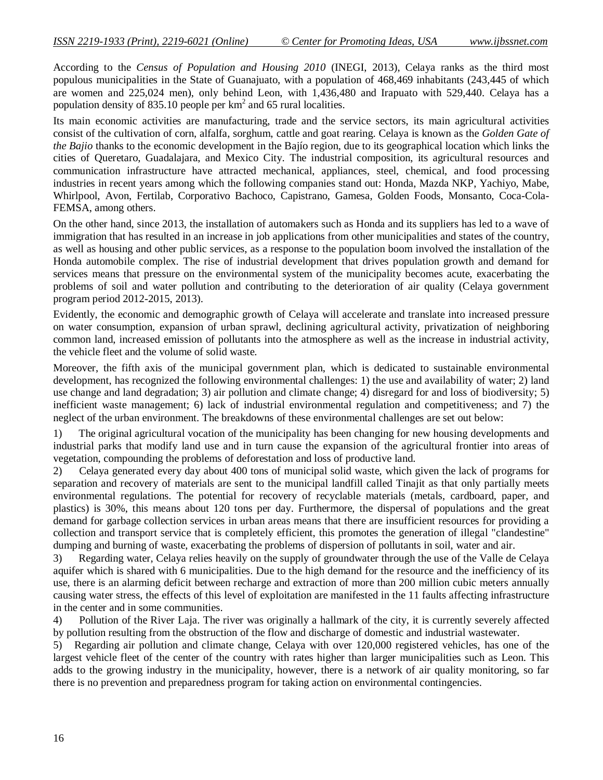According to the *Census of Population and Housing 2010* (INEGI, 2013), Celaya ranks as the third most populous municipalities in the State of Guanajuato, with a population of 468,469 inhabitants (243,445 of which are women and 225,024 men), only behind Leon, with 1,436,480 and Irapuato with 529,440. Celaya has a population density of 835.10 people per  $km^2$  and 65 rural localities.

Its main economic activities are manufacturing, trade and the service sectors, its main agricultural activities consist of the cultivation of corn, alfalfa, sorghum, cattle and goat rearing. Celaya is known as the *Golden Gate of the Bajio* thanks to the economic development in the Bajío region, due to its geographical location which links the cities of Queretaro, Guadalajara, and Mexico City. The industrial composition, its agricultural resources and communication infrastructure have attracted mechanical, appliances, steel, chemical, and food processing industries in recent years among which the following companies stand out: Honda, Mazda NKP, Yachiyo, Mabe, Whirlpool, Avon, Fertilab, Corporativo Bachoco, Capistrano, Gamesa, Golden Foods, Monsanto, Coca-Cola-FEMSA, among others.

On the other hand, since 2013, the installation of automakers such as Honda and its suppliers has led to a wave of immigration that has resulted in an increase in job applications from other municipalities and states of the country, as well as housing and other public services, as a response to the population boom involved the installation of the Honda automobile complex. The rise of industrial development that drives population growth and demand for services means that pressure on the environmental system of the municipality becomes acute, exacerbating the problems of soil and water pollution and contributing to the deterioration of air quality (Celaya government program period 2012-2015, 2013).

Evidently, the economic and demographic growth of Celaya will accelerate and translate into increased pressure on water consumption, expansion of urban sprawl, declining agricultural activity, privatization of neighboring common land, increased emission of pollutants into the atmosphere as well as the increase in industrial activity, the vehicle fleet and the volume of solid waste.

Moreover, the fifth axis of the municipal government plan, which is dedicated to sustainable environmental development, has recognized the following environmental challenges: 1) the use and availability of water; 2) land use change and land degradation; 3) air pollution and climate change; 4) disregard for and loss of biodiversity; 5) inefficient waste management; 6) lack of industrial environmental regulation and competitiveness; and 7) the neglect of the urban environment. The breakdowns of these environmental challenges are set out below:

1) The original agricultural vocation of the municipality has been changing for new housing developments and industrial parks that modify land use and in turn cause the expansion of the agricultural frontier into areas of vegetation, compounding the problems of deforestation and loss of productive land.

2) Celaya generated every day about 400 tons of municipal solid waste, which given the lack of programs for separation and recovery of materials are sent to the municipal landfill called Tinajit as that only partially meets environmental regulations. The potential for recovery of recyclable materials (metals, cardboard, paper, and plastics) is 30%, this means about 120 tons per day. Furthermore, the dispersal of populations and the great demand for garbage collection services in urban areas means that there are insufficient resources for providing a collection and transport service that is completely efficient, this promotes the generation of illegal "clandestine" dumping and burning of waste, exacerbating the problems of dispersion of pollutants in soil, water and air.

3) Regarding water, Celaya relies heavily on the supply of groundwater through the use of the Valle de Celaya aquifer which is shared with 6 municipalities. Due to the high demand for the resource and the inefficiency of its use, there is an alarming deficit between recharge and extraction of more than 200 million cubic meters annually causing water stress, the effects of this level of exploitation are manifested in the 11 faults affecting infrastructure in the center and in some communities.

4) Pollution of the River Laja. The river was originally a hallmark of the city, it is currently severely affected by pollution resulting from the obstruction of the flow and discharge of domestic and industrial wastewater.

5) Regarding air pollution and climate change, Celaya with over 120,000 registered vehicles, has one of the largest vehicle fleet of the center of the country with rates higher than larger municipalities such as Leon. This adds to the growing industry in the municipality, however, there is a network of air quality monitoring, so far there is no prevention and preparedness program for taking action on environmental contingencies.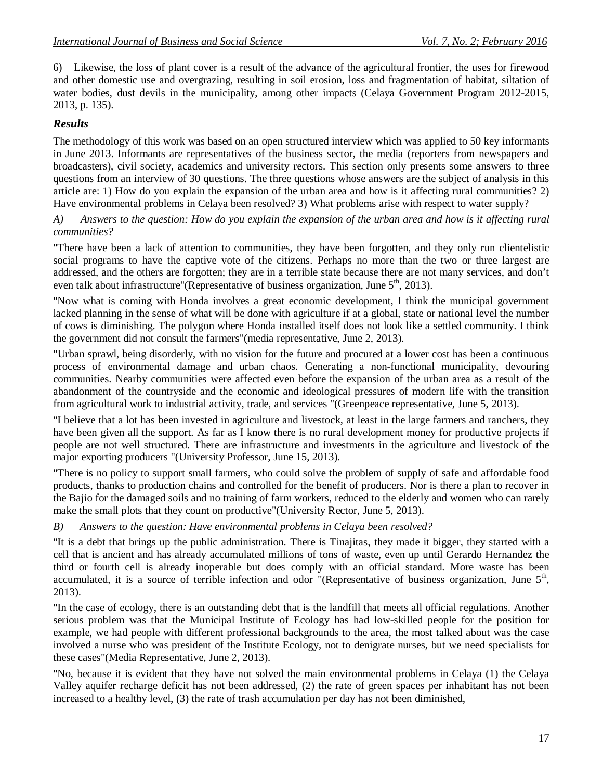6) Likewise, the loss of plant cover is a result of the advance of the agricultural frontier, the uses for firewood and other domestic use and overgrazing, resulting in soil erosion, loss and fragmentation of habitat, siltation of water bodies, dust devils in the municipality, among other impacts (Celaya Government Program 2012-2015, 2013, p. 135).

# *Results*

The methodology of this work was based on an open structured interview which was applied to 50 key informants in June 2013. Informants are representatives of the business sector, the media (reporters from newspapers and broadcasters), civil society, academics and university rectors. This section only presents some answers to three questions from an interview of 30 questions. The three questions whose answers are the subject of analysis in this article are: 1) How do you explain the expansion of the urban area and how is it affecting rural communities? 2) Have environmental problems in Celaya been resolved? 3) What problems arise with respect to water supply?

#### *A) Answers to the question: How do you explain the expansion of the urban area and how is it affecting rural communities?*

"There have been a lack of attention to communities, they have been forgotten, and they only run clientelistic social programs to have the captive vote of the citizens. Perhaps no more than the two or three largest are addressed, and the others are forgotten; they are in a terrible state because there are not many services, and don't even talk about infrastructure"(Representative of business organization, June 5<sup>th</sup>, 2013).

"Now what is coming with Honda involves a great economic development, I think the municipal government lacked planning in the sense of what will be done with agriculture if at a global, state or national level the number of cows is diminishing. The polygon where Honda installed itself does not look like a settled community. I think the government did not consult the farmers"(media representative, June 2, 2013).

"Urban sprawl, being disorderly, with no vision for the future and procured at a lower cost has been a continuous process of environmental damage and urban chaos. Generating a non-functional municipality, devouring communities. Nearby communities were affected even before the expansion of the urban area as a result of the abandonment of the countryside and the economic and ideological pressures of modern life with the transition from agricultural work to industrial activity, trade, and services "(Greenpeace representative, June 5, 2013).

"I believe that a lot has been invested in agriculture and livestock, at least in the large farmers and ranchers, they have been given all the support. As far as I know there is no rural development money for productive projects if people are not well structured. There are infrastructure and investments in the agriculture and livestock of the major exporting producers "(University Professor, June 15, 2013).

"There is no policy to support small farmers, who could solve the problem of supply of safe and affordable food products, thanks to production chains and controlled for the benefit of producers. Nor is there a plan to recover in the Bajio for the damaged soils and no training of farm workers, reduced to the elderly and women who can rarely make the small plots that they count on productive"(University Rector, June 5, 2013).

# *B) Answers to the question: Have environmental problems in Celaya been resolved?*

"It is a debt that brings up the public administration. There is Tinajitas, they made it bigger, they started with a cell that is ancient and has already accumulated millions of tons of waste, even up until Gerardo Hernandez the third or fourth cell is already inoperable but does comply with an official standard. More waste has been accumulated, it is a source of terrible infection and odor "(Representative of business organization, June  $5<sup>th</sup>$ , 2013).

"In the case of ecology, there is an outstanding debt that is the landfill that meets all official regulations. Another serious problem was that the Municipal Institute of Ecology has had low-skilled people for the position for example, we had people with different professional backgrounds to the area, the most talked about was the case involved a nurse who was president of the Institute Ecology, not to denigrate nurses, but we need specialists for these cases"(Media Representative, June 2, 2013).

"No, because it is evident that they have not solved the main environmental problems in Celaya (1) the Celaya Valley aquifer recharge deficit has not been addressed, (2) the rate of green spaces per inhabitant has not been increased to a healthy level, (3) the rate of trash accumulation per day has not been diminished,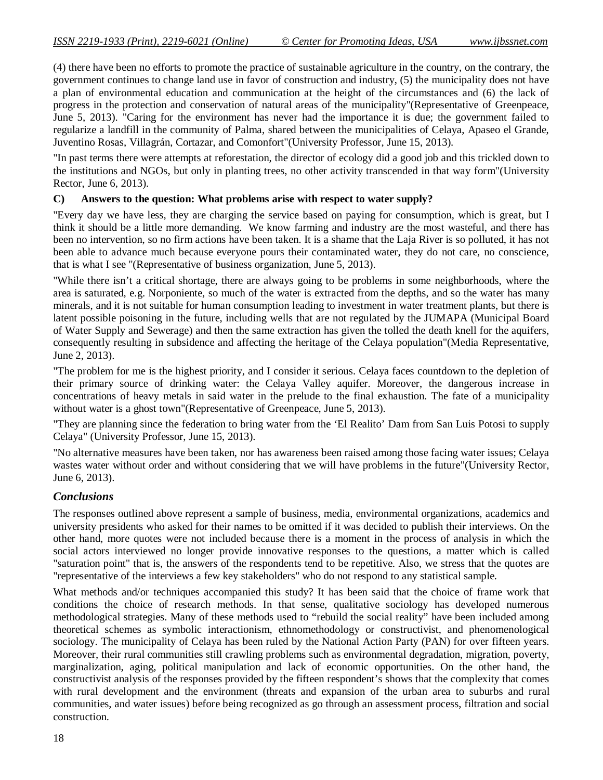(4) there have been no efforts to promote the practice of sustainable agriculture in the country, on the contrary, the government continues to change land use in favor of construction and industry, (5) the municipality does not have a plan of environmental education and communication at the height of the circumstances and (6) the lack of progress in the protection and conservation of natural areas of the municipality"(Representative of Greenpeace, June 5, 2013). "Caring for the environment has never had the importance it is due; the government failed to regularize a landfill in the community of Palma, shared between the municipalities of Celaya, Apaseo el Grande, Juventino Rosas, Villagrán, Cortazar, and Comonfort"(University Professor, June 15, 2013).

"In past terms there were attempts at reforestation, the director of ecology did a good job and this trickled down to the institutions and NGOs, but only in planting trees, no other activity transcended in that way form"(University Rector, June 6, 2013).

#### **C) Answers to the question: What problems arise with respect to water supply?**

"Every day we have less, they are charging the service based on paying for consumption, which is great, but I think it should be a little more demanding. We know farming and industry are the most wasteful, and there has been no intervention, so no firm actions have been taken. It is a shame that the Laja River is so polluted, it has not been able to advance much because everyone pours their contaminated water, they do not care, no conscience, that is what I see "(Representative of business organization, June 5, 2013).

"While there isn't a critical shortage, there are always going to be problems in some neighborhoods, where the area is saturated, e.g. Norponiente, so much of the water is extracted from the depths, and so the water has many minerals, and it is not suitable for human consumption leading to investment in water treatment plants, but there is latent possible poisoning in the future, including wells that are not regulated by the JUMAPA (Municipal Board of Water Supply and Sewerage) and then the same extraction has given the tolled the death knell for the aquifers, consequently resulting in subsidence and affecting the heritage of the Celaya population"(Media Representative, June 2, 2013).

"The problem for me is the highest priority, and I consider it serious. Celaya faces countdown to the depletion of their primary source of drinking water: the Celaya Valley aquifer. Moreover, the dangerous increase in concentrations of heavy metals in said water in the prelude to the final exhaustion. The fate of a municipality without water is a ghost town"(Representative of Greenpeace, June 5, 2013).

"They are planning since the federation to bring water from the 'El Realito' Dam from San Luis Potosi to supply Celaya" (University Professor, June 15, 2013).

"No alternative measures have been taken, nor has awareness been raised among those facing water issues; Celaya wastes water without order and without considering that we will have problems in the future"(University Rector, June 6, 2013).

# *Conclusions*

The responses outlined above represent a sample of business, media, environmental organizations, academics and university presidents who asked for their names to be omitted if it was decided to publish their interviews. On the other hand, more quotes were not included because there is a moment in the process of analysis in which the social actors interviewed no longer provide innovative responses to the questions, a matter which is called "saturation point" that is, the answers of the respondents tend to be repetitive. Also, we stress that the quotes are "representative of the interviews a few key stakeholders" who do not respond to any statistical sample.

What methods and/or techniques accompanied this study? It has been said that the choice of frame work that conditions the choice of research methods. In that sense, qualitative sociology has developed numerous methodological strategies. Many of these methods used to "rebuild the social reality" have been included among theoretical schemes as symbolic interactionism, ethnomethodology or constructivist, and phenomenological sociology. The municipality of Celaya has been ruled by the National Action Party (PAN) for over fifteen years. Moreover, their rural communities still crawling problems such as environmental degradation, migration, poverty, marginalization, aging, political manipulation and lack of economic opportunities. On the other hand, the constructivist analysis of the responses provided by the fifteen respondent's shows that the complexity that comes with rural development and the environment (threats and expansion of the urban area to suburbs and rural communities, and water issues) before being recognized as go through an assessment process, filtration and social construction.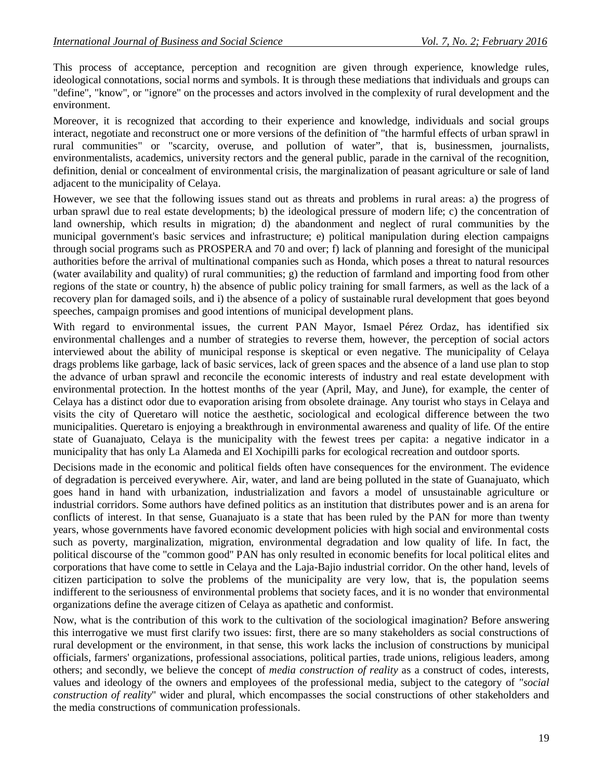This process of acceptance, perception and recognition are given through experience, knowledge rules, ideological connotations, social norms and symbols. It is through these mediations that individuals and groups can "define", "know", or "ignore" on the processes and actors involved in the complexity of rural development and the environment.

Moreover, it is recognized that according to their experience and knowledge, individuals and social groups interact, negotiate and reconstruct one or more versions of the definition of "the harmful effects of urban sprawl in rural communities" or "scarcity, overuse, and pollution of water", that is, businessmen, journalists, environmentalists, academics, university rectors and the general public, parade in the carnival of the recognition, definition, denial or concealment of environmental crisis, the marginalization of peasant agriculture or sale of land adjacent to the municipality of Celaya.

However, we see that the following issues stand out as threats and problems in rural areas: a) the progress of urban sprawl due to real estate developments; b) the ideological pressure of modern life; c) the concentration of land ownership, which results in migration; d) the abandonment and neglect of rural communities by the municipal government's basic services and infrastructure; e) political manipulation during election campaigns through social programs such as PROSPERA and 70 and over; f) lack of planning and foresight of the municipal authorities before the arrival of multinational companies such as Honda, which poses a threat to natural resources (water availability and quality) of rural communities; g) the reduction of farmland and importing food from other regions of the state or country, h) the absence of public policy training for small farmers, as well as the lack of a recovery plan for damaged soils, and i) the absence of a policy of sustainable rural development that goes beyond speeches, campaign promises and good intentions of municipal development plans.

With regard to environmental issues, the current PAN Mayor, Ismael Pérez Ordaz, has identified six environmental challenges and a number of strategies to reverse them, however, the perception of social actors interviewed about the ability of municipal response is skeptical or even negative. The municipality of Celaya drags problems like garbage, lack of basic services, lack of green spaces and the absence of a land use plan to stop the advance of urban sprawl and reconcile the economic interests of industry and real estate development with environmental protection. In the hottest months of the year (April, May, and June), for example, the center of Celaya has a distinct odor due to evaporation arising from obsolete drainage. Any tourist who stays in Celaya and visits the city of Queretaro will notice the aesthetic, sociological and ecological difference between the two municipalities. Queretaro is enjoying a breakthrough in environmental awareness and quality of life. Of the entire state of Guanajuato, Celaya is the municipality with the fewest trees per capita: a negative indicator in a municipality that has only La Alameda and El Xochipilli parks for ecological recreation and outdoor sports.

Decisions made in the economic and political fields often have consequences for the environment. The evidence of degradation is perceived everywhere. Air, water, and land are being polluted in the state of Guanajuato, which goes hand in hand with urbanization, industrialization and favors a model of unsustainable agriculture or industrial corridors. Some authors have defined politics as an institution that distributes power and is an arena for conflicts of interest. In that sense, Guanajuato is a state that has been ruled by the PAN for more than twenty years, whose governments have favored economic development policies with high social and environmental costs such as poverty, marginalization, migration, environmental degradation and low quality of life. In fact, the political discourse of the "common good" PAN has only resulted in economic benefits for local political elites and corporations that have come to settle in Celaya and the Laja-Bajio industrial corridor. On the other hand, levels of citizen participation to solve the problems of the municipality are very low, that is, the population seems indifferent to the seriousness of environmental problems that society faces, and it is no wonder that environmental organizations define the average citizen of Celaya as apathetic and conformist.

Now, what is the contribution of this work to the cultivation of the sociological imagination? Before answering this interrogative we must first clarify two issues: first, there are so many stakeholders as social constructions of rural development or the environment, in that sense, this work lacks the inclusion of constructions by municipal officials, farmers' organizations, professional associations, political parties, trade unions, religious leaders, among others; and secondly, we believe the concept of *media construction of reality* as a construct of codes, interests, values and ideology of the owners and employees of the professional media, subject to the category of *"social construction of reality*" wider and plural, which encompasses the social constructions of other stakeholders and the media constructions of communication professionals.